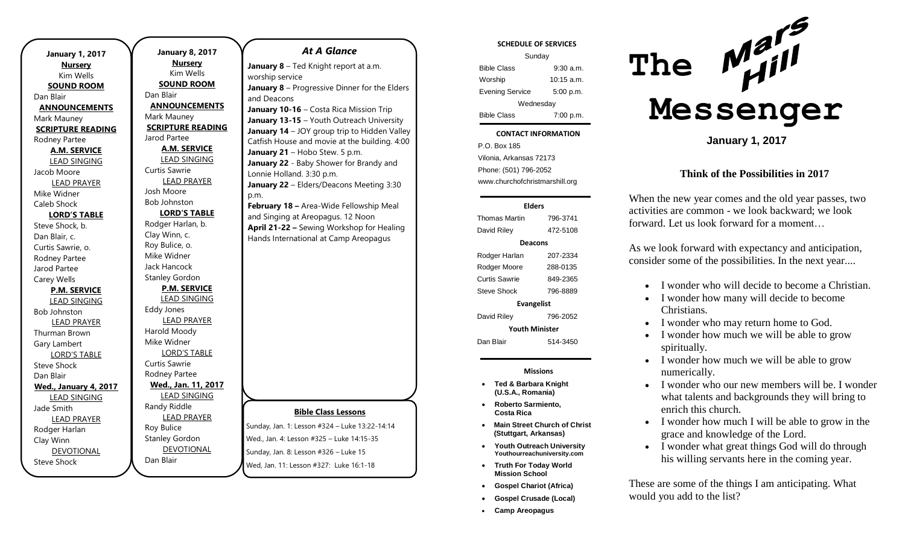| <b>January 1, 2017</b>                  |  |
|-----------------------------------------|--|
| <b>Nursery</b>                          |  |
| Kim Wells                               |  |
| <b>SOUND ROOM</b>                       |  |
| Dan Blair                               |  |
| <b>ANNOUNCEMENTS</b>                    |  |
| Mark Mauney                             |  |
| <b>SCRIPTURE READING</b>                |  |
| Rodney Partee                           |  |
| <b>A.M. SERVICE</b>                     |  |
| <b>LEAD SINGING</b>                     |  |
| Jacob Moore                             |  |
| <b>LEAD PRAYER</b>                      |  |
| Mike Widner                             |  |
| Caleb Shock                             |  |
| <b>LORD'S TABLE</b>                     |  |
| Steve Shock, b.                         |  |
| Dan Blair, c.                           |  |
| Curtis Sawrie, o.                       |  |
| Rodney Partee                           |  |
| Jarod Partee                            |  |
| Carey Wells                             |  |
| <b>P.M. SERVICE</b>                     |  |
| <b>LEAD SINGING</b>                     |  |
| <b>Bob Johnston</b>                     |  |
| <b>LEAD PRAYER</b>                      |  |
| Thurman Brown                           |  |
| Gary Lambert                            |  |
| <b>LORD'S TABLE</b>                     |  |
| Steve Shock                             |  |
| Dan Blair                               |  |
| <b>Wed., January 4, 2017</b>            |  |
| <b>LEAD SINGING</b>                     |  |
| Jade Smith                              |  |
| <b>LEAD PRAYER</b>                      |  |
| Rodger Harlan                           |  |
| Clay Winn                               |  |
| <b>DEVOTIONAL</b><br><b>Steve Shock</b> |  |
|                                         |  |

**January 8, 2017 Nursery** Kim Wells **SOUND ROOM** Dan Blair **ANNOUNCEMENTS** Mark Mauney **SCRIPTURE READING** Jarod Partee **A.M. SERVICE** LEAD SINGING Curtis Sawrie LEAD PRAYER Josh Moore Bob Johnston **LORD'S TABLE** Rodger Harlan, b. Clay Winn, c. Roy Bulice, o. Mike Widner Jack Hancock Stanley Gordon **P.M. SERVICE** LEAD SINGING Eddy Jones LEAD PRAYER Harold Moody Mike Widner LORD'S TABLE Curtis Sawrie Rodney Partee **Wed., Jan. 11, 2017** LEAD SINGING Randy Riddle LEAD PRAYER Roy Bulice Stanley Gordon DEVOTIONAL Sunday, Jan. 8: Lesson #326 – Luke 15

Dan Blair

# **Bible Class Lessons** Sunday, Jan. 1: Lesson #324 – Luke 13:22-14:14 Wed., Jan. 4: Lesson #325 – Luke 14:15-35 *At A Glance*  **January 8** – Ted Knight report at a.m. worship service **January 8** – Progressive Dinner for the Elders and Deacons **January 10-16** – Costa Rica Mission Trip **January 13-15** – Youth Outreach University **January 14** – JOY group trip to Hidden Valley Catfish House and movie at the building. 4:00 January 21 - Hobo Stew. 5 p.m. **January 22** - Baby Shower for Brandy and Lonnie Holland. 3:30 p.m. **January 22** – Elders/Deacons Meeting 3:30 p.m. **February 18 –** Area-Wide Fellowship Meal and Singing at Areopagus. 12 Noon **April 21-22 –** Sewing Workshop for Healing Hands International at Camp Areopagus

Wed, Jan. 11: Lesson #327: Luke 16:1-18

### **SCHEDULE OF SERVICES**

| Sunday                 |              |  |
|------------------------|--------------|--|
| <b>Bible Class</b>     | $9:30$ a.m.  |  |
| Worship                | $10:15$ a.m. |  |
| <b>Evening Service</b> | 5:00 p.m.    |  |
| Wednesday              |              |  |
| <b>Bible Class</b>     | 7:00 p.m.    |  |

### **CONTACT INFORMATION**

Tuesday . .o. Bex 166<br>Vilonia, Arkansas 72173 P.O. Box 185 Phone: (501) 796-2052 www.churchofchristmarshill.org

### **Elders**

Thomas Martin 796-3741 David Riley 472-5108 **Deacons** Rodger Harlan 207-2334 Rodger Moore 288-0135 Curtis Sawrie 849-2365 Steve Shock 796-8889 **Evangelist** David Riley 796-2052 **Youth Minister**

Dan Blair 514-3450

#### **Missions**

- **Ted & Barbara Knight (U.S.A., Romania)**
- **Roberto Sarmiento, Costa Rica**
- **Main Street Church of Christ (Stuttgart, Arkansas)**
- **Youth Outreach University Youthourreachuniversity.com**
- **Truth For Today World Mission School**
- **Gospel Chariot (Africa)**
- **Gospel Crusade (Local)**
- **Camp Areopagus**



**January 1, 2017**

### **Think of the Possibilities in 2017**

When the new year comes and the old year passes, two activities are common - we look backward; we look forward. Let us look forward for a moment…

As we look forward with expectancy and anticipation, consider some of the possibilities. In the next year....

- I wonder who will decide to become a Christian.
- I wonder how many will decide to become Christians.
- I wonder who may return home to God.
- I wonder how much we will be able to grow spiritually.
- I wonder how much we will be able to grow numerically.
- I wonder who our new members will be. I wonder what talents and backgrounds they will bring to enrich this church.
- I wonder how much I will be able to grow in the grace and knowledge of the Lord.
- I wonder what great things God will do through his willing servants here in the coming year.

These are some of the things I am anticipating. What would you add to the list?